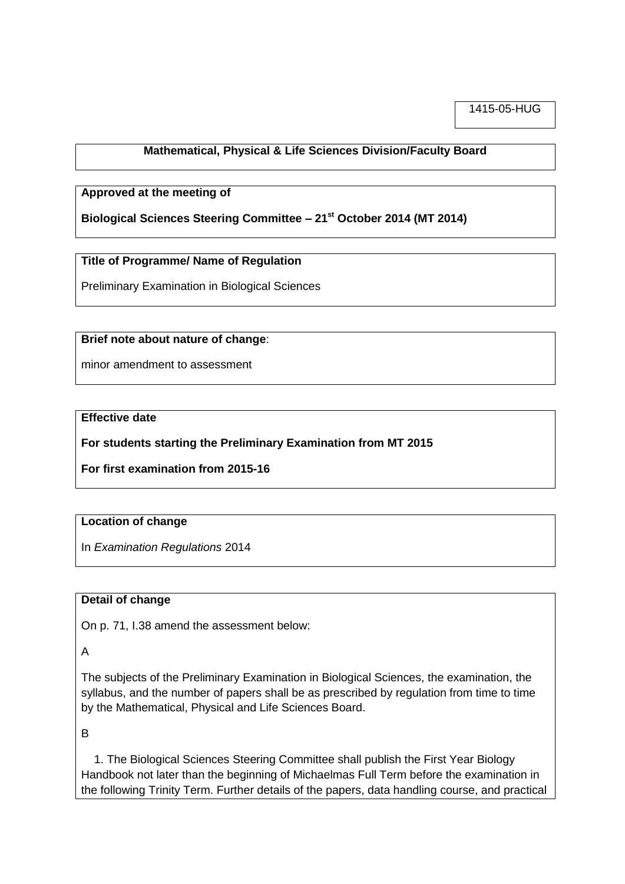1415-05-HUG

# **Mathematical, Physical & Life Sciences Division/Faculty Board**

#### **Approved at the meeting of**

**Biological Sciences Steering Committee – 21st October 2014 (MT 2014)**

## **Title of Programme/ Name of Regulation**

Preliminary Examination in Biological Sciences

#### **Brief note about nature of change**:

minor amendment to assessment

## **Effective date**

**For students starting the Preliminary Examination from MT 2015**

**For first examination from 2015-16**

## **Location of change**

In *Examination Regulations* 2014

## **Detail of change**

On p. 71, I.38 amend the assessment below:

A

The subjects of the Preliminary Examination in Biological Sciences, the examination, the syllabus, and the number of papers shall be as prescribed by regulation from time to time by the Mathematical, Physical and Life Sciences Board.

B

 1. The Biological Sciences Steering Committee shall publish the First Year Biology Handbook not later than the beginning of Michaelmas Full Term before the examination in the following Trinity Term. Further details of the papers, data handling course, and practical